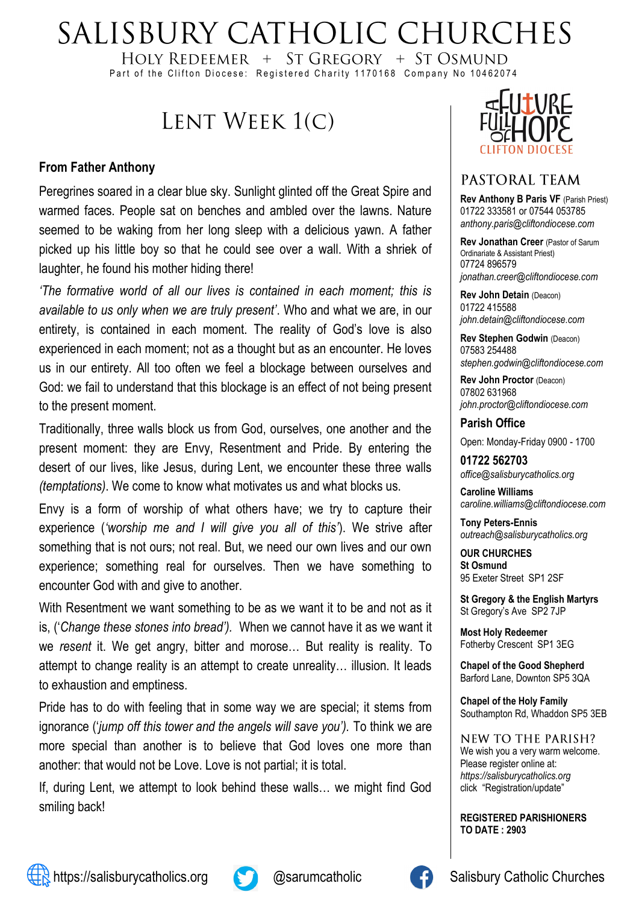# SALISBURY CATHOLIC CHURCHES

HOLY REDEEMER  $+$  ST GREGORY  $+$  ST OSMUND Part of the Clifton Diocese: Registered Charity 1170168 Company No 10462074

# LENT WEEK 1(C)

#### **From Father Anthony**

Peregrines soared in a clear blue sky. Sunlight glinted off the Great Spire and warmed faces. People sat on benches and ambled over the lawns. Nature seemed to be waking from her long sleep with a delicious yawn. A father picked up his little boy so that he could see over a wall. With a shriek of laughter, he found his mother hiding there!

*'The formative world of all our lives is contained in each moment; this is available to us only when we are truly present'*. Who and what we are, in our entirety, is contained in each moment. The reality of God's love is also experienced in each moment; not as a thought but as an encounter. He loves us in our entirety. All too often we feel a blockage between ourselves and God: we fail to understand that this blockage is an effect of not being present to the present moment.

Traditionally, three walls block us from God, ourselves, one another and the present moment: they are Envy, Resentment and Pride. By entering the desert of our lives, like Jesus, during Lent, we encounter these three walls *(temptations)*. We come to know what motivates us and what blocks us.

Envy is a form of worship of what others have; we try to capture their experience (*'worship me and I will give you all of this'*). We strive after something that is not ours; not real. But, we need our own lives and our own experience; something real for ourselves. Then we have something to encounter God with and give to another.

With Resentment we want something to be as we want it to be and not as it is, ('*Change these stones into bread').* When we cannot have it as we want it we *resent* it. We get angry, bitter and morose… But reality is reality. To attempt to change reality is an attempt to create unreality… illusion. It leads to exhaustion and emptiness.

Pride has to do with feeling that in some way we are special; it stems from ignorance ('*jump off this tower and the angels will save you').* To think we are more special than another is to believe that God loves one more than another: that would not be Love. Love is not partial; it is total.

If, during Lent, we attempt to look behind these walls… we might find God smiling back!



### PASTORAL TEAM

**Rev Anthony B Paris VF (Parish Priest)** 01722 333581 or 07544 053785 *anthony.paris@cliftondiocese.com*

**Rev Jonathan Creer** (Pastor of Sarum Ordinariate & Assistant Priest) 07724 896579 *jonathan.creer@cliftondiocese.com*

**Rev John Detain** (Deacon) 01722 415588 *john.detain@cliftondiocese.com*

**Rev Stephen Godwin** (Deacon) 07583 254488 *stephen.godwin@cliftondiocese.com*

**Rev John Proctor** (Deacon) 07802 631968 *john.proctor@cliftondiocese.com*

#### **Parish Office**

Open: Monday-Friday 0900 - 1700

**01722 562703** *office@salisburycatholics.org*

**Caroline Williams** *caroline.williams@cliftondiocese.com*

**Tony Peters-Ennis** *outreach@salisburycatholics.org*

**OUR CHURCHES St Osmund** 95 Exeter Street SP1 2SF

**St Gregory & the English Martyrs** St Gregory's Ave SP2 7JP

**Most Holy Redeemer**  Fotherby Crescent SP1 3EG

**Chapel of the Good Shepherd** Barford Lane, Downton SP5 3QA

**Chapel of the Holy Family** Southampton Rd, Whaddon SP5 3EB

NEW TO THE PARISH? We wish you a very warm welcome. Please register online at: *[https://salisburycatholics.org](https://p1.pamis.co.uk/salisbury/onlined01cab)*  [click "Registration/update"](https://p1.pamis.co.uk/salisbury/onlined01cab) 

**REGISTERED PARISHIONERS TO DATE : 2903**



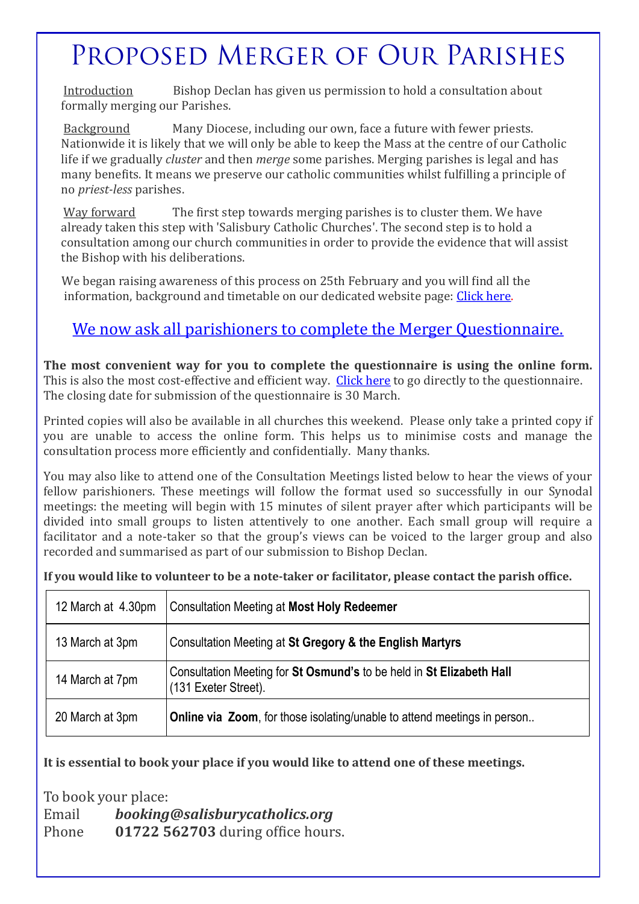# PROPOSED MERGER OF OUR PARISHES

Introduction Bishop Declan has given us permission to hold a consultation about formally merging our Parishes.

Background Many Diocese, including our own, face a future with fewer priests. Nationwide it is likely that we will only be able to keep the Mass at the centre of our Catholic life if we gradually *cluster* and then *merge* some parishes. Merging parishes is legal and has many benefits. It means we preserve our catholic communities whilst fulfilling a principle of no *priest-less* parishes.

Way forward The first step towards merging parishes is to cluster them. We have already taken this step with 'Salisbury Catholic Churches'. The second step is to hold a consultation among our church communities in order to provide the evidence that will assist the Bishop with his deliberations.

We began raising awareness of this process on 25th February and you will find all the information, background and timetable on our dedicated website page: [Click here.](https://salisburycatholics.org/parish-merger)

# [We now ask all parishioners to complete the Merger Questionnaire.](https://salisburycatholics.org/q-0)

**The most convenient way for you to complete the questionnaire is using the online form.**  This is also the most cost-effective and efficient way. [Click here](https://salisburycatholics.org/q-0) to go directly to the questionnaire. The closing date for submission of the questionnaire is 30 March.

Printed copies will also be available in all churches this weekend. Please only take a printed copy if you are unable to access the online form. This helps us to minimise costs and manage the consultation process more efficiently and confidentially. Many thanks.

You may also like to attend one of the Consultation Meetings listed below to hear the views of your fellow parishioners. These meetings will follow the format used so successfully in our Synodal meetings: the meeting will begin with 15 minutes of silent prayer after which participants will be divided into small groups to listen attentively to one another. Each small group will require a facilitator and a note-taker so that the group's views can be voiced to the larger group and also recorded and summarised as part of our submission to Bishop Declan.

**If you would like to volunteer to be a note-taker or facilitator, please contact the parish office.**

| 12 March at 4.30pm | <b>Consultation Meeting at Most Holy Redeemer</b>                                            |
|--------------------|----------------------------------------------------------------------------------------------|
| 13 March at 3pm    | Consultation Meeting at St Gregory & the English Martyrs                                     |
| 14 March at 7pm    | Consultation Meeting for St Osmund's to be held in St Elizabeth Hall<br>(131 Exeter Street). |
| 20 March at 3pm    | <b>Online via Zoom</b> , for those isolating/unable to attend meetings in person             |

#### **It is essential to book your place if you would like to attend one of these meetings.**

To book your place: Email *booking@salisburycatholics.org*  Phone **01722 562703** during office hours.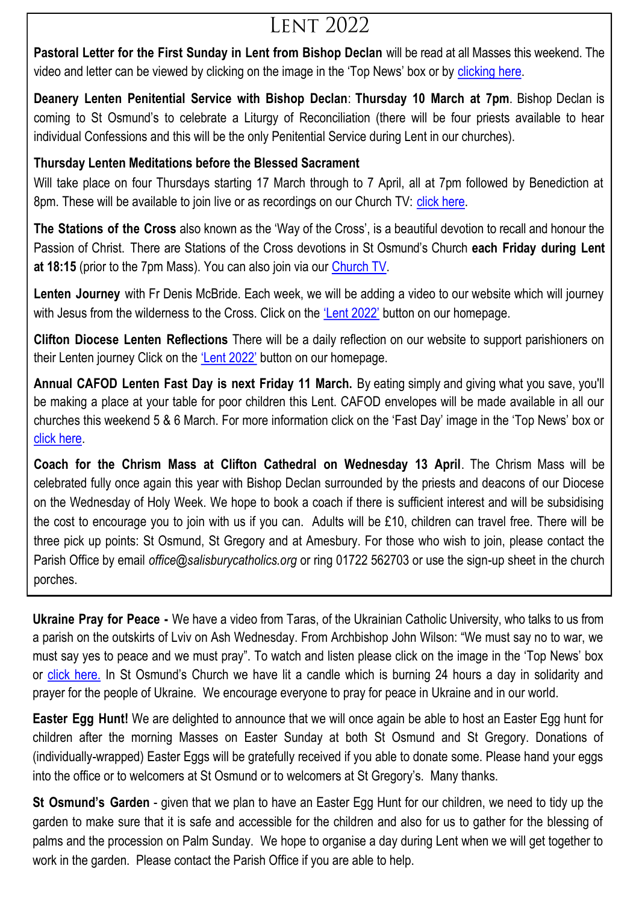# **LENT 2022**

**Pastoral Letter for the First Sunday in Lent from Bishop Declan** will be read at all Masses this weekend. The video and letter can be viewed by clicking on the image in the 'Top News' box or by clicking here.

**Deanery Lenten Penitential Service with Bishop Declan**: **Thursday 10 March at 7pm**. Bishop Declan is coming to St Osmund's to celebrate a Liturgy of Reconciliation (there will be four priests available to hear individual Confessions and this will be the only Penitential Service during Lent in our churches).

### **Thursday Lenten Meditations before the Blessed Sacrament**

Will take place on four Thursdays starting 17 March through to 7 April, all at 7pm followed by Benediction at 8pm. These will be available to join live or as recordings on our Church TV: [click here.](https://salisburycatholics.org/st-osmunds)

**The Stations of the Cross** also known as the 'Way of the Cross', is a beautiful devotion to recall and honour the Passion of Christ. There are Stations of the Cross devotions in St Osmund's Church **each Friday during Lent at 18:15** (prior to the 7pm Mass). You can also join via our [Church TV.](https://salisburycatholics.org/st-osmunds)

**Lenten Journey** with Fr Denis McBride. Each week, we will be adding a video to our website which will journey with Jesus from the wilderness to the Cross. Click on the ['Lent 2022'](https://salisburycatholics.org/lent-2022) button on our homepage.

**Clifton Diocese Lenten Reflections** There will be a daily reflection on our website to support parishioners on their Lenten journey Click on the ['Lent 2022'](https://salisburycatholics.org/lent-2022) button on our homepage.

**Annual CAFOD Lenten Fast Day is next Friday 11 March.** By eating simply and giving what you save, you'll be making a place at your table for poor children this Lent. CAFOD envelopes will be made available in all our churches this weekend 5 & 6 March. For more information click on the 'Fast Day' image in the 'Top News' box or [click here.](https://salisburycatholics.org/fast-2022)

**Coach for the Chrism Mass at Clifton Cathedral on Wednesday 13 April**. The Chrism Mass will be celebrated fully once again this year with Bishop Declan surrounded by the priests and deacons of our Diocese on the Wednesday of Holy Week. We hope to book a coach if there is sufficient interest and will be subsidising the cost to encourage you to join with us if you can. Adults will be £10, children can travel free. There will be three pick up points: St Osmund, St Gregory and at Amesbury. For those who wish to join, please contact the Parish Office by email *office@salisburycatholics.org* or ring 01722 562703 or use the sign-up sheet in the church porches.

**Ukraine Pray for Peace -** We have a video from Taras, of the Ukrainian Catholic University, who talks to us from a parish on the outskirts of Lviv on Ash Wednesday. From Archbishop John Wilson: "We must say no to war, we must say yes to peace and we must pray". To watch and listen please click on the image in the 'Top News' box or [click here.](https://salisburycatholics.org/ukraine) In St Osmund's Church we have lit a candle which is burning 24 hours a day in solidarity and prayer for the people of Ukraine. We encourage everyone to pray for peace in Ukraine and in our world.

**Easter Egg Hunt!** We are delighted to announce that we will once again be able to host an Easter Egg hunt for children after the morning Masses on Easter Sunday at both St Osmund and St Gregory. Donations of (individually-wrapped) Easter Eggs will be gratefully received if you able to donate some. Please hand your eggs into the office or to welcomers at St Osmund or to welcomers at St Gregory's. Many thanks.

**St Osmund's Garden** - given that we plan to have an Easter Egg Hunt for our children, we need to tidy up the garden to make sure that it is safe and accessible for the children and also for us to gather for the blessing of palms and the procession on Palm Sunday. We hope to organise a day during Lent when we will get together to work in the garden. Please contact the Parish Office if you are able to help.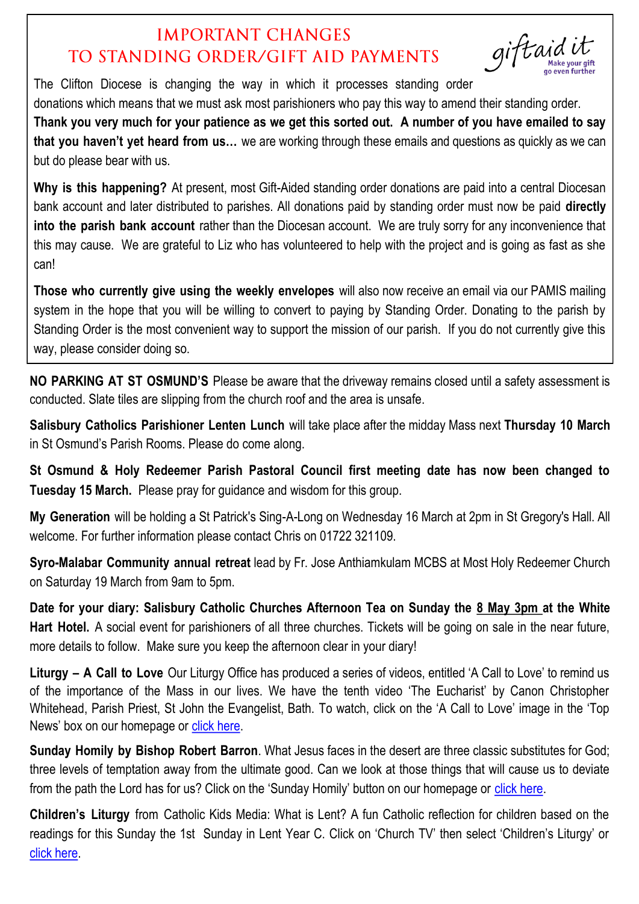# **IMPORTANT CHANGES** TO STANDING ORDER/GIFT AID PAYMENTS

giftaidi

The Clifton Diocese is changing the way in which it processes standing order

donations which means that we must ask most parishioners who pay this way to amend their standing order. **Thank you very much for your patience as we get this sorted out. A number of you have emailed to say that you haven't yet heard from us…** we are working through these emails and questions as quickly as we can but do please bear with us.

**Why is this happening?** At present, most Gift-Aided standing order donations are paid into a central Diocesan bank account and later distributed to parishes. All donations paid by standing order must now be paid **directly into the parish bank account** rather than the Diocesan account. We are truly sorry for any inconvenience that this may cause. We are grateful to Liz who has volunteered to help with the project and is going as fast as she can!

**Those who currently give using the weekly envelopes** will also now receive an email via our PAMIS mailing system in the hope that you will be willing to convert to paying by Standing Order. Donating to the parish by Standing Order is the most convenient way to support the mission of our parish. If you do not currently give this way, please consider doing so.

**NO PARKING AT ST OSMUND'S** Please be aware that the driveway remains closed until a safety assessment is conducted. Slate tiles are slipping from the church roof and the area is unsafe.

**Salisbury Catholics Parishioner Lenten Lunch** will take place after the midday Mass next **Thursday 10 March**  in St Osmund's Parish Rooms. Please do come along.

**St Osmund & Holy Redeemer Parish Pastoral Council first meeting date has now been changed to Tuesday 15 March.** Please pray for guidance and wisdom for this group.

**My Generation** will be holding a St Patrick's Sing-A-Long on Wednesday 16 March at 2pm in St Gregory's Hall. All welcome. For further information please contact Chris on 01722 321109.

**Syro-Malabar Community annual retreat** lead by Fr. Jose Anthiamkulam MCBS at Most Holy Redeemer Church on Saturday 19 March from 9am to 5pm.

**Date for your diary: Salisbury Catholic Churches Afternoon Tea on Sunday the 8 May 3pm at the White Hart Hotel.** A social event for parishioners of all three churches. Tickets will be going on sale in the near future, more details to follow. Make sure you keep the afternoon clear in your diary!

**Liturgy – A Call to Love** Our Liturgy Office has produced a series of videos, entitled 'A Call to Love' to remind us of the importance of the Mass in our lives. We have the tenth video 'The Eucharist' by Canon Christopher Whitehead, Parish Priest, St John the Evangelist, Bath. To watch, click on the 'A Call to Love' image in the 'Top News' box on our homepage or [click here.](https://salisburycatholics.org/call-love)

**Sunday Homily by Bishop Robert Barron**. What Jesus faces in the desert are three classic substitutes for God; three levels of temptation away from the ultimate good. Can we look at those things that will cause us to deviate from the path the Lord has for us? Click on the 'Sunday Homily' button on our homepage or [click here.](https://salisburycatholics.org/sunday-homily)

**Children's Liturgy** from Catholic Kids Media: What is Lent? A fun Catholic reflection for children based on the readings for this Sunday the 1st Sunday in Lent Year C. Click on 'Church TV' then select 'Children's Liturgy' or [click here.](https://salisburycatholics.org/childrens-liturgy)